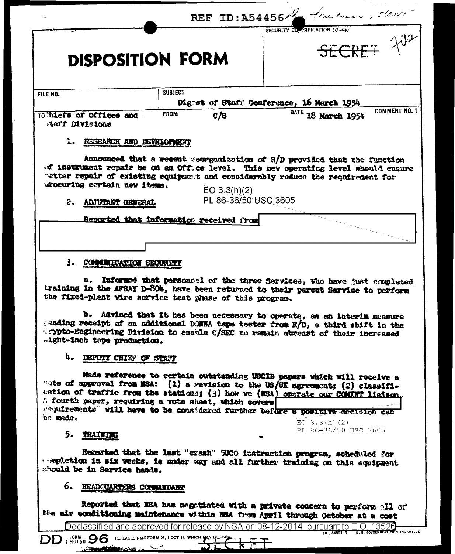|                                                                                                                        |                                         | REF ID: A54456 freehour, $5/1557$                                                                                                                                                                                                                                                                                                                    |
|------------------------------------------------------------------------------------------------------------------------|-----------------------------------------|------------------------------------------------------------------------------------------------------------------------------------------------------------------------------------------------------------------------------------------------------------------------------------------------------------------------------------------------------|
|                                                                                                                        |                                         | SECURITY CLESIFICATION (If any)                                                                                                                                                                                                                                                                                                                      |
| <b>DISPOSITION FORM</b>                                                                                                |                                         | SECRET TUR                                                                                                                                                                                                                                                                                                                                           |
|                                                                                                                        |                                         |                                                                                                                                                                                                                                                                                                                                                      |
| FILE NO.                                                                                                               | <b>SUBJECT</b>                          |                                                                                                                                                                                                                                                                                                                                                      |
|                                                                                                                        |                                         | Digest of Staff Conference, 16 March 1954<br><b>COMMENT NO. 1</b>                                                                                                                                                                                                                                                                                    |
| TO hiefs of Offices and.<br>taff Divisions                                                                             | <b>FROM</b><br>c/s                      | DATE 18 March 1954                                                                                                                                                                                                                                                                                                                                   |
| 1. RESEARCH AND DEVELOPMENT                                                                                            |                                         |                                                                                                                                                                                                                                                                                                                                                      |
| arocuring certain new items.<br>2. ADJUTANT GENERAL                                                                    | EO 3.3(h)(2)<br>PL 86-36/50 USC 3605    | of instrument repair be on an Office level. This new operating level should ensure<br>retter repair of existing equipment and considerably reduce the requirement for                                                                                                                                                                                |
|                                                                                                                        | Reported that information received from |                                                                                                                                                                                                                                                                                                                                                      |
|                                                                                                                        |                                         |                                                                                                                                                                                                                                                                                                                                                      |
|                                                                                                                        |                                         |                                                                                                                                                                                                                                                                                                                                                      |
| 3. COMMUNICATION SECURITY                                                                                              |                                         |                                                                                                                                                                                                                                                                                                                                                      |
|                                                                                                                        |                                         | b. Advised that it has been necessary to operate, as an interim measure<br>gending receipt of an additional DONNA tape tester from R/D, a third shift in the<br>crypto-Engineering Division to enable C/SEC to remain abreast of their increased                                                                                                     |
| the fixed-plant wire service test phase of this program.<br>eight-inch tape production.<br>4.<br>DEPUTY CHIEF OF STAFF |                                         |                                                                                                                                                                                                                                                                                                                                                      |
| A fourth paper, requiring a vote sheet, which covers<br>be made.                                                       |                                         | Made reference to certain outstanding UBCIB papars which will receive a<br>"ote of approval from MSA: (1) a revision to the US/UK agreement; (2) classifi-<br>cation of traffic from the stations; (3) how we (NSA) operate our COMINT liainon.<br>sequirements" will have to be considered further before a positive decision can<br>$EO$ 3.3(h)(2) |
| 5. TRAINING                                                                                                            |                                         | a. Informed that personnel of the three Services, who have just completed<br>training in the AFSAY D-804, have been returned to their parent Service to perform<br>PL 86-36/50 USC 3605                                                                                                                                                              |
| should be in Service hands.<br>6.<br>HEADCUARTERS COMMANDANT                                                           |                                         | Remarked that the last "crash" 5000 instruction program, scheduled for<br>a meletion in six weeks, is under way and all further training on this equipment                                                                                                                                                                                           |
|                                                                                                                        |                                         | Reported that NSA has negotiated with a private concern to perform all of                                                                                                                                                                                                                                                                            |
|                                                                                                                        |                                         | the air conditioning maintenance within HRA from April through October at a cost<br><u>Declassified and approved for release by NSA on 08-12-2014  pursuant to E.O. 13526</u><br><b>VERNMENT PRINTING OFFICE</b>                                                                                                                                     |

<u> Andrew Miller (</u>

 $\ddot{\phantom{0}}$